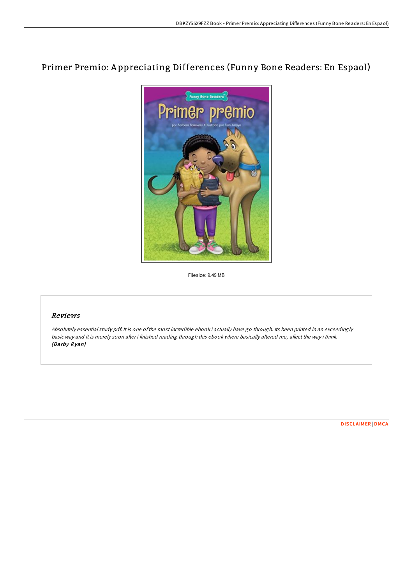# Primer Premio: A ppreciating Differences (Funny Bone Readers: En Espaol)



Filesize: 9.49 MB

## Reviews

Absolutely essential study pdf. It is one ofthe most incredible ebook i actually have go through. Its been printed in an exceedingly basic way and it is merely soon after i finished reading through this ebook where basically altered me, affect the way i think. (Darby Ryan)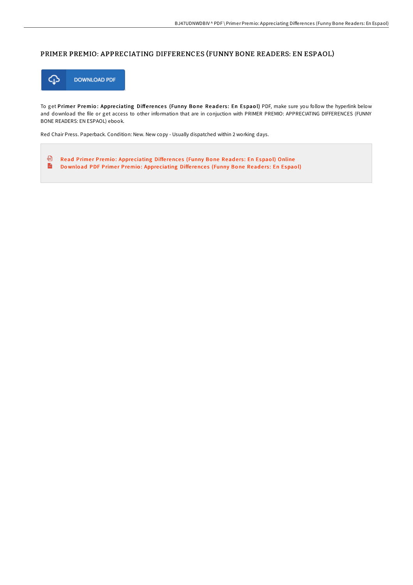## PRIMER PREMIO: APPRECIATING DIFFERENCES (FUNNY BONE READERS: EN ESPAOL)



To get Primer Premio: Appreciating Differences (Funny Bone Readers: En Espaol) PDF, make sure you follow the hyperlink below and download the file or get access to other information that are in conjuction with PRIMER PREMIO: APPRECIATING DIFFERENCES (FUNNY BONE READERS: EN ESPAOL) ebook.

Red Chair Press. Paperback. Condition: New. New copy - Usually dispatched within 2 working days.

品 Read Primer [Premio](http://almighty24.tech/primer-premio-appreciating-differences-funny-bon.html): Appreciating Differences (Funny Bone Readers: En Espaol) Online  $\frac{1}{100}$ Download PDF Primer [Premio](http://almighty24.tech/primer-premio-appreciating-differences-funny-bon.html): Appreciating Differences (Funny Bone Readers: En Espaol)